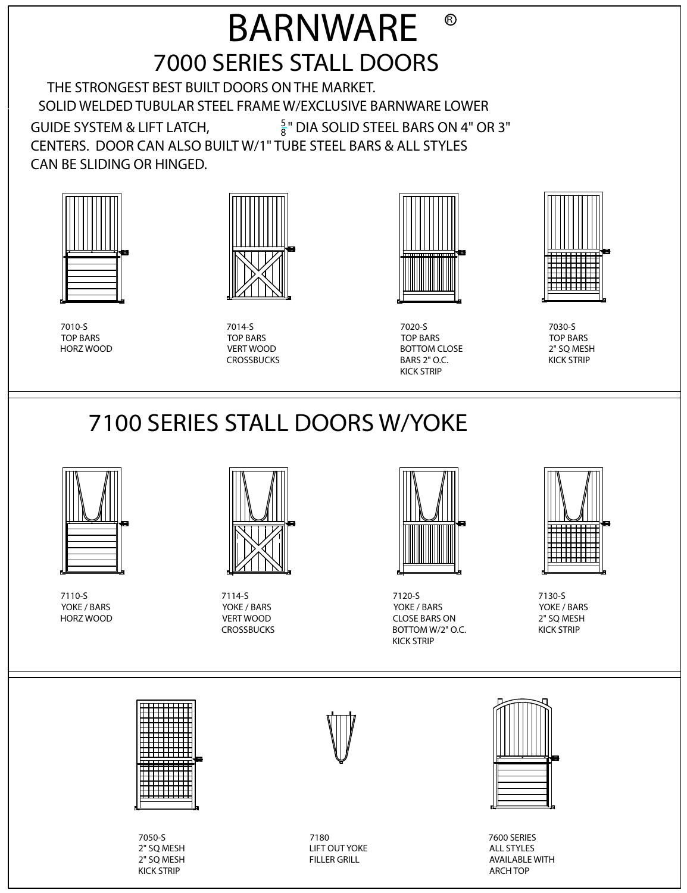### 7000 SERIES STALL DOORS BARNWARE  $\circledR$

 THE STRONGEST BEST BUILT DOORS ON THE MARKET. SOLID WELDED TUBULAR STEEL FRAME W/EXCLUSIVE BARNWARE LOWER GUIDE SYSTEM & LIFT LATCH, <sup>5</sup>  $\frac{5}{8}$ " DIA SOLID STEEL BARS ON 4" OR 3"

CENTERS. DOOR CAN ALSO BUILT W/1" TUBE STEEL BARS & ALL STYLES CAN BE SLIDING OR HINGED.



7010-S TOP BARS HORZ WOOD



7014-S TOP BARS VERT WOOD CROSSBUCKS



7020-S TOP BARS BOTTOM CLOSE BARS 2" O.C. KICK STRIP



7030-S TOP BARS 2" SQ MESH KICK STRIP

# 7100 SERIES STALL DOORS W/YOKE



7110-S YOKE / BARS HORZ WOOD



7114-S YOKE / BARS VERT WOOD **CROSSBUCKS** 



7120-S YOKE / BARS CLOSE BARS ON BOTTOM W/2" O.C. KICK STRIP



7130-S YOKE / BARS 2" SQ MESH KICK STRIP



7050-S 2" SQ MESH 2" SQ MESH KICK STRIP

7180 LIFT OUT YOKE FILLER GRILL



7600 SERIES ALL STYLES AVAILABLE WITH ARCH TOP